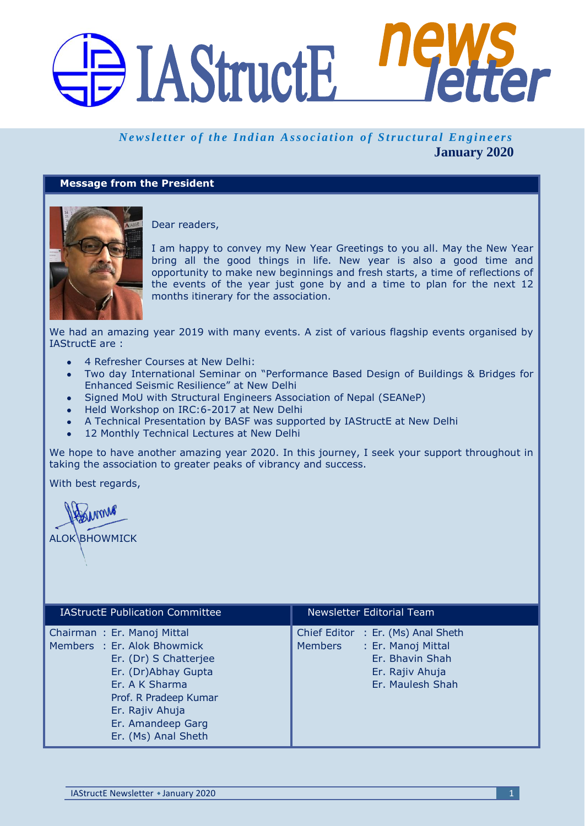# BIAStructE<sup>115</sup> **Her**

# *Newsletter of the Indian Association of Structural Engineers* **January 2020**

# **Message from the President**



Dear readers,

I am happy to convey my New Year Greetings to you all. May the New Year bring all the good things in life. New year is also a good time and opportunity to make new beginnings and fresh starts, a time of reflections of the events of the year just gone by and a time to plan for the next 12 months itinerary for the association.

We had an amazing year 2019 with many events. A zist of various flagship events organised by IAStructE are :

- 4 Refresher Courses at New Delhi:
- Two day International Seminar on "Performance Based Design of Buildings & Bridges for Enhanced Seismic Resilience" at New Delhi
- Signed MoU with Structural Engineers Association of Nepal (SEANeP)
- Held Workshop on IRC:6-2017 at New Delhi
- A Technical Presentation by BASF was supported by IAStructE at New Delhi
- 12 Monthly Technical Lectures at New Delhi

We hope to have another amazing year 2020. In this journey, I seek your support throughout in taking the association to greater peaks of vibrancy and success.

With best regards,

Inme **ALOK BHOWMICK** 

| <b>IAStructE</b> Publication Committee                                                                                                                                                                              | Newsletter Editorial Team                                                                                                            |
|---------------------------------------------------------------------------------------------------------------------------------------------------------------------------------------------------------------------|--------------------------------------------------------------------------------------------------------------------------------------|
| Chairman: Er. Manoj Mittal<br>Members : Er. Alok Bhowmick<br>Er. (Dr) S Chatterjee<br>Er. (Dr)Abhay Gupta<br>Er. A K Sharma<br>Prof. R Pradeep Kumar<br>Er. Rajiv Ahuja<br>Er. Amandeep Garg<br>Er. (Ms) Anal Sheth | Chief Editor : Er. (Ms) Anal Sheth<br>: Er. Manoj Mittal<br><b>Members</b><br>Er. Bhavin Shah<br>Er. Rajiv Ahuja<br>Er. Maulesh Shah |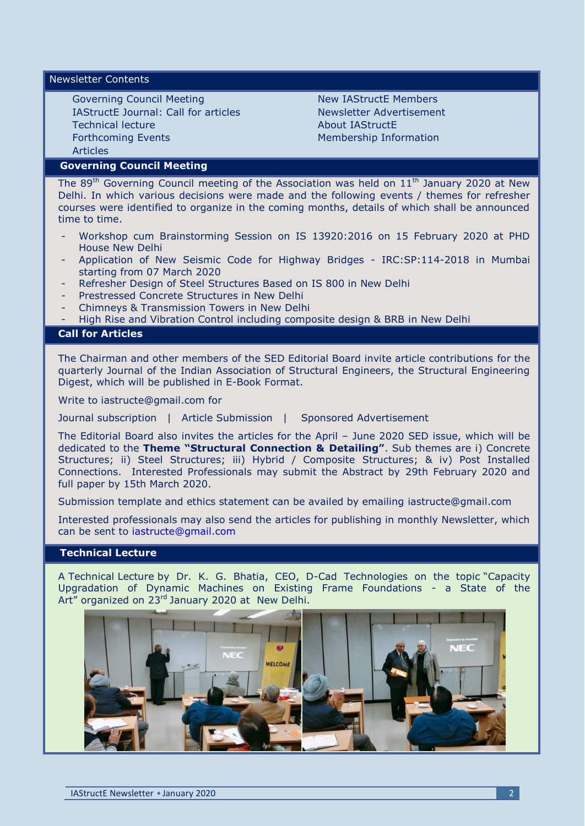Newsletter Contents

Governing Council Meeting IAStructE Journal: Call for articles Technical lecture Forthcoming Events Articles

New IAStructE Members Newsletter Advertisement About IAStructE Membership Information

# **Governing Council Meeting**

The  $89<sup>th</sup>$  Governing Council meeting of the Association was held on  $11<sup>th</sup>$  January 2020 at New Delhi. In which various decisions were made and the following events / themes for refresher courses were identified to organize in the coming months, details of which shall be announced time to time.

- Workshop cum Brainstorming Session on IS 13920:2016 on 15 February 2020 at PHD House New Delhi
- Application of New Seismic Code for Highway Bridges IRC:SP:114-2018 in Mumbai starting from 07 March 2020
- Refresher Design of Steel Structures Based on IS 800 in New Delhi
- Prestressed Concrete Structures in New Delhi
- Chimneys & Transmission Towers in New Delhi
- High Rise and Vibration Control including composite design & BRB in New Delhi

# **Call for Articles**

The Chairman and other members of the SED Editorial Board invite article contributions for the quarterly Journal of the Indian Association of Structural Engineers, the Structural Engineering Digest, which will be published in E-Book Format.

Write to iastructe@gmail.com for

Journal subscription | Article Submission | Sponsored Advertisement

The Editorial Board also invites the articles for the April – June 2020 SED issue, which will be dedicated to the **Theme "Structural Connection & Detailing"**. Sub themes are i) Concrete Structures; ii) Steel Structures; iii) Hybrid / Composite Structures; & iv) Post Installed Connections. Interested Professionals may submit the Abstract by 29th February 2020 and full paper by 15th March 2020.

Submission template and ethics statement can be availed by emailing [iastructe@gmail.com](mailto:iastructe@gmail.com)

Interested professionals may also send the articles for publishing in monthly Newsletter, which can be sent to [iastructe@gmail.com](mailto:iastructe@gmail.com)

# **Technical Lecture**

A Technical Lecture by Dr. K. G. Bhatia, CEO, D-Cad Technologies on the topic "Capacity Upgradation of Dynamic Machines on Existing Frame Foundations - a State of the Art" organized on 23<sup>rd</sup> January 2020 at New Delhi.

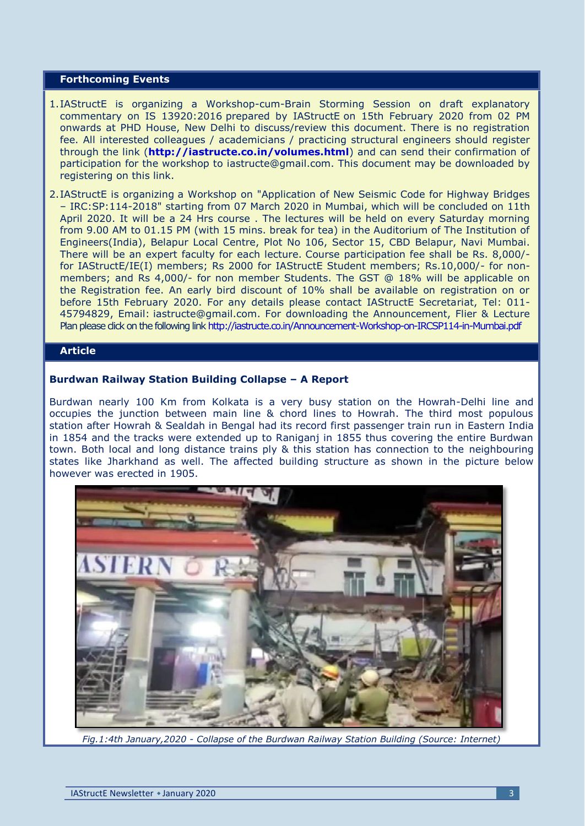## **Forthcoming Events**

- 1.IAStructE is organizing a Workshop-cum-Brain Storming Session on draft explanatory commentary on IS 13920:2016 prepared by IAStructE on 15th February 2020 from 02 PM onwards at PHD House, New Delhi to discuss/review this document. There is no registration fee. All interested colleagues / academicians / practicing structural engineers should register through the link (**<http://iastructe.co.in/volumes.html>**) and can send their confirmation of participation for the workshop to [iastructe@gmail.com.](mailto:iastructe@gmail.com) This document may be downloaded by registering on this link.
- 2.IAStructE is organizing a Workshop on "Application of New Seismic Code for Highway Bridges – IRC:SP:114-2018" starting from 07 March 2020 in Mumbai, which will be concluded on 11th April 2020. It will be a 24 Hrs course . The lectures will be held on every Saturday morning from 9.00 AM to 01.15 PM (with 15 mins. break for tea) in the Auditorium of The Institution of Engineers(India), Belapur Local Centre, Plot No 106, Sector 15, CBD Belapur, Navi Mumbai. There will be an expert faculty for each lecture. Course participation fee shall be Rs. 8,000/ for IAStructE/IE(I) members; Rs 2000 for IAStructE Student members; Rs.10,000/- for nonmembers; and Rs 4,000/- for non member Students. The GST @ 18% will be applicable on the Registration fee. An early bird discount of 10% shall be available on registration on or before 15th February 2020. For any details please contact IAStructE Secretariat, Tel: 011- 45794829, Email: [iastructe@gmail.com.](mailto:iastructe@gmail.com) For downloading the Announcement, Flier & Lecture Plan please dick on the following lin[k http://iastructe.co.in/Announcement-Workshop-on-IRCSP114-in-Mumbai.pdf](http://iastructe.co.in/Announcement-Workshop-on-IRCSP114-in-Mumbai.pdf)

# **Article**

#### **Burdwan Railway Station Building Collapse – A Report**

Burdwan nearly 100 Km from Kolkata is a very busy station on the Howrah-Delhi line and occupies the junction between main line & chord lines to Howrah. The third most populous station after Howrah & Sealdah in Bengal had its record first passenger train run in Eastern India in 1854 and the tracks were extended up to Ranigani in 1855 thus covering the entire Burdwan town. Both local and long distance trains ply & this station has connection to the neighbouring states like Jharkhand as well. The affected building structure as shown in the picture below however was erected in 1905.



*Fig.1:4th January,2020 - Collapse of the Burdwan Railway Station Building (Source: Internet)*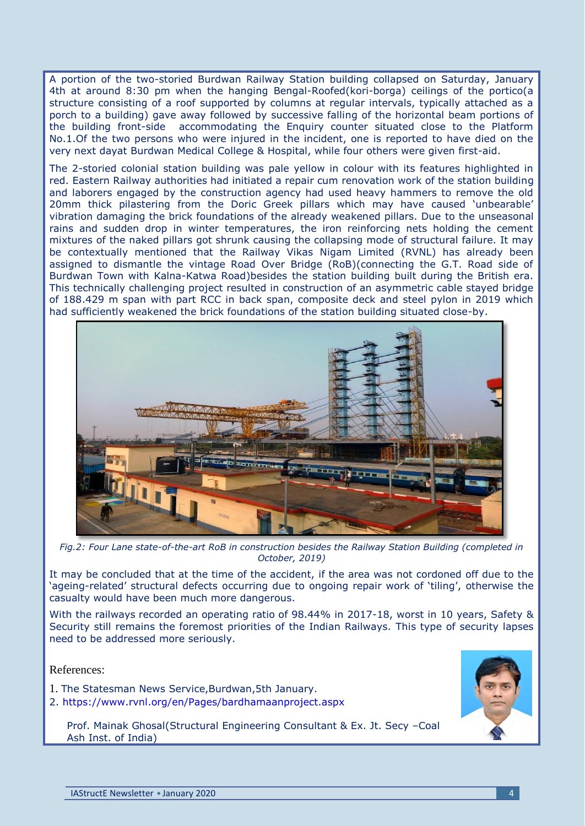A portion of the two-storied Burdwan Railway Station building collapsed on Saturday, January 4th at around 8:30 pm when the hanging Bengal-Roofed(kori-borga) ceilings of the portico(a structure consisting of a roof supported by columns at regular intervals, typically attached as a porch to a building) gave away followed by successive falling of the horizontal beam portions of the building front-side accommodating the Enquiry counter situated close to the Platform No.1.Of the two persons who were injured in the incident, one is reported to have died on the very next dayat Burdwan Medical College & Hospital, while four others were given first-aid.

The 2-storied colonial station building was pale yellow in colour with its features highlighted in red. Eastern Railway authorities had initiated a repair cum renovation work of the station building and laborers engaged by the construction agency had used heavy hammers to remove the old 20mm thick pilastering from the Doric Greek pillars which may have caused 'unbearable' vibration damaging the brick foundations of the already weakened pillars. Due to the unseasonal rains and sudden drop in winter temperatures, the iron reinforcing nets holding the cement mixtures of the naked pillars got shrunk causing the collapsing mode of structural failure. It may be contextually mentioned that the Railway Vikas Nigam Limited (RVNL) has already been assigned to dismantle the vintage Road Over Bridge (RoB)(connecting the G.T. Road side of Burdwan Town with Kalna-Katwa Road)besides the station building built during the British era. This technically challenging project resulted in construction of an asymmetric cable stayed bridge of 188.429 m span with part RCC in back span, composite deck and steel pylon in 2019 which had sufficiently weakened the brick foundations of the station building situated close-by.



*Fig.2: Four Lane state-of-the-art RoB in construction besides the Railway Station Building (completed in October, 2019)*

It may be concluded that at the time of the accident, if the area was not cordoned off due to the "ageing-related" structural defects occurring due to ongoing repair work of "tiling", otherwise the casualty would have been much more dangerous.

With the railways recorded an operating ratio of 98.44% in 2017-18, worst in 10 years, Safety & Security still remains the foremost priorities of the Indian Railways. This type of security lapses need to be addressed more seriously.

References:

- 1. The Statesman News Service,Burdwan,5th January.
- 2.<https://www.rvnl.org/en/Pages/bardhamaanproject.aspx>

Prof. Mainak Ghosal(Structural Engineering Consultant & Ex. Jt. Secy –Coal Ash Inst. of India)

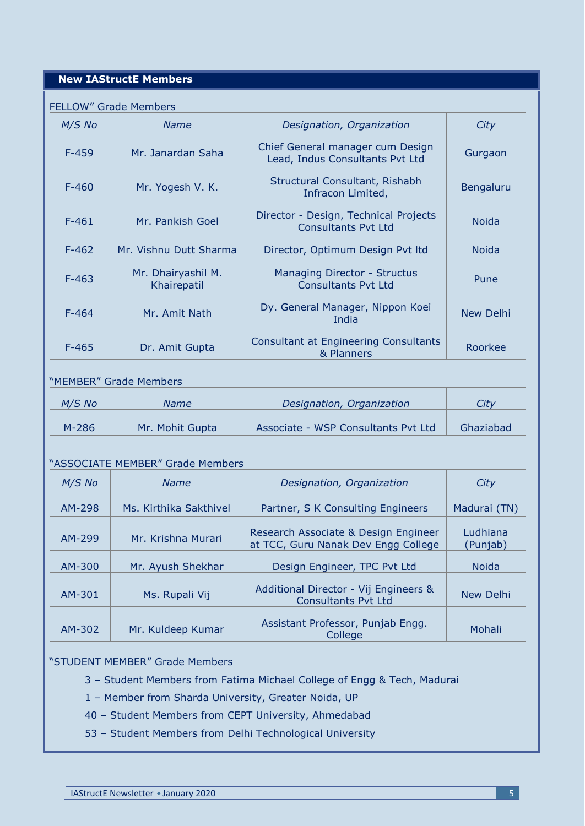# **New IAStructE Members**

#### FELLOW" Grade Members

| $M/S$ No  | <b>Name</b>                       | Designation, Organization                                           | City         |
|-----------|-----------------------------------|---------------------------------------------------------------------|--------------|
| $F-459$   | Mr. Janardan Saha                 | Chief General manager cum Design<br>Lead, Indus Consultants Pvt Ltd | Gurgaon      |
| $F - 460$ | Mr. Yogesh V. K.                  | Structural Consultant, Rishabh<br>Infracon Limited,                 | Bengaluru    |
| $F - 461$ | Mr. Pankish Goel                  | Director - Design, Technical Projects<br><b>Consultants Pyt Ltd</b> | <b>Noida</b> |
| $F-462$   | Mr. Vishnu Dutt Sharma            | Director, Optimum Design Pvt Itd                                    | <b>Noida</b> |
| $F-463$   | Mr. Dhairyashil M.<br>Khairepatil | Managing Director - Structus<br><b>Consultants Pvt Ltd</b>          | Pune         |
| $F - 464$ | Mr. Amit Nath                     | Dy. General Manager, Nippon Koei<br>India                           | New Delhi    |
| $F-465$   | Dr. Amit Gupta                    | <b>Consultant at Engineering Consultants</b><br>& Planners          | Roorkee      |

# "MEMBER" Grade Members

| $M/S$ No | <b>Name</b>     | Designation, Organization           | Citv      |
|----------|-----------------|-------------------------------------|-----------|
| $M-286$  | Mr. Mohit Gupta | Associate - WSP Consultants Pvt Ltd | Ghaziabad |

#### "ASSOCIATE MEMBER" Grade Members

| $M/S$ No | <b>Name</b>            | Designation, Organization                                                   | City                 |
|----------|------------------------|-----------------------------------------------------------------------------|----------------------|
| AM-298   | Ms. Kirthika Sakthivel | Partner, S K Consulting Engineers                                           | Madurai (TN)         |
| AM-299   | Mr. Krishna Murari     | Research Associate & Design Engineer<br>at TCC, Guru Nanak Dev Engg College | Ludhiana<br>(Punjab) |
| AM-300   | Mr. Ayush Shekhar      | Design Engineer, TPC Pvt Ltd                                                | <b>Noida</b>         |
| AM-301   | Ms. Rupali Vij         | Additional Director - Vij Engineers &<br><b>Consultants Pvt Ltd</b>         | New Delhi            |
| AM-302   | Mr. Kuldeep Kumar      | Assistant Professor, Punjab Engg.<br>College                                | Mohali               |

# "STUDENT MEMBER" Grade Members

- 3 Student Members from Fatima Michael College of Engg & Tech, Madurai
- 1 Member from Sharda University, Greater Noida, UP
- 40 Student Members from CEPT University, Ahmedabad
- 53 Student Members from Delhi Technological University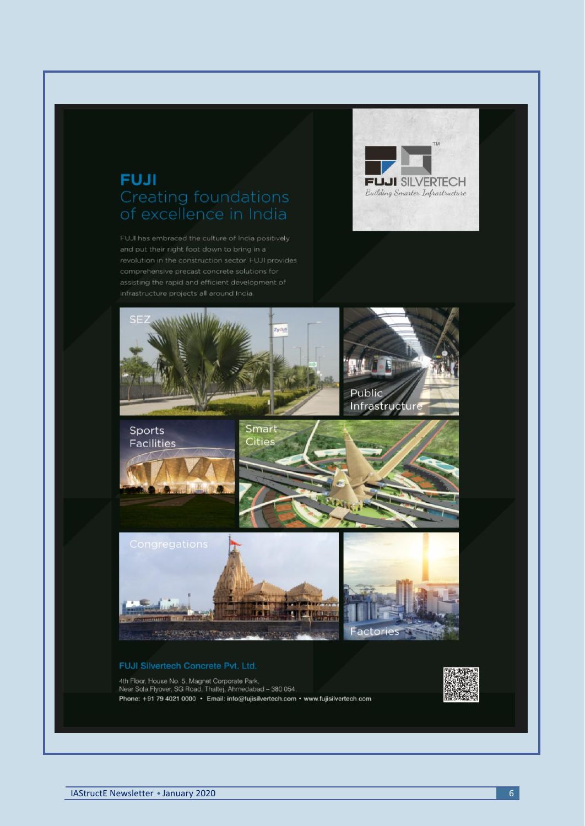# **FUJI Creating foundations**

FUJI has embraced the culture of India positively





#### FUJI Silvertech Concrete Pvt. Ltd.

4th Floor, House No. 5, Magnet Corporate Park,<br>Near Sola Flyover, SG Road, Thaltej, Ahmedabad - 380 054,<br>Phone: +91 79 4021 0000 · Email: info@fujisilvertech.com · www.fujisilvertech.com